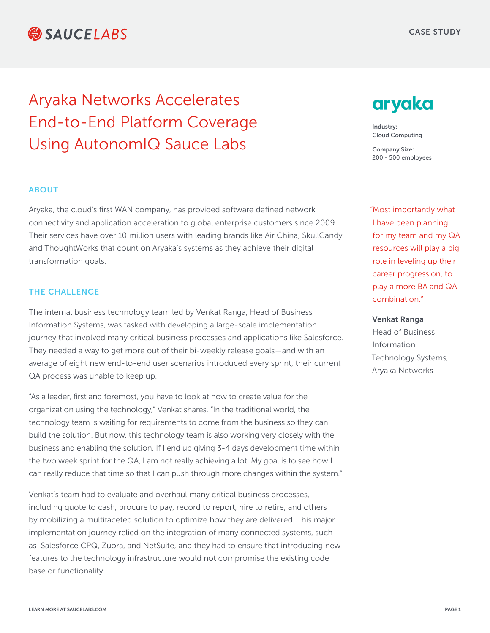# **SAUCELARS**

# Aryaka Networks Accelerates End-to-End Platform Coverage Using AutonomIQ Sauce Labs

### ABOUT

Aryaka, the cloud's first WAN company, has provided software defined network connectivity and application acceleration to global enterprise customers since 2009. Their services have over 10 million users with leading brands like Air China, SkullCandy and ThoughtWorks that count on Aryaka's systems as they achieve their digital transformation goals.

### THE CHALLENGE

The internal business technology team led by Venkat Ranga, Head of Business Information Systems, was tasked with developing a large-scale implementation journey that involved many critical business processes and applications like Salesforce. They needed a way to get more out of their bi-weekly release goals—and with an average of eight new end-to-end user scenarios introduced every sprint, their current QA process was unable to keep up.

"As a leader, first and foremost, you have to look at how to create value for the organization using the technology," Venkat shares. "In the traditional world, the technology team is waiting for requirements to come from the business so they can build the solution. But now, this technology team is also working very closely with the business and enabling the solution. If I end up giving 3-4 days development time within the two week sprint for the QA, I am not really achieving a lot. My goal is to see how I can really reduce that time so that I can push through more changes within the system."

Venkat's team had to evaluate and overhaul many critical business processes, including quote to cash, procure to pay, record to report, hire to retire, and others by mobilizing a multifaceted solution to optimize how they are delivered. This major implementation journey relied on the integration of many connected systems, such as Salesforce CPQ, Zuora, and NetSuite, and they had to ensure that introducing new features to the technology infrastructure would not compromise the existing code base or functionality.

# aryaka

Industry: Cloud Computing

Company Size: 200 - 500 employees

"Most importantly what I have been planning for my team and my QA resources will play a big role in leveling up their career progression, to play a more BA and QA combination."

#### Venkat Ranga

Head of Business Information Technology Systems, Aryaka Networks